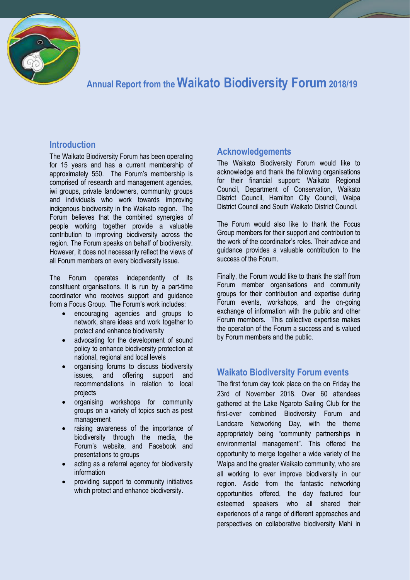

# **Annual Report from the Waikato Biodiversity Forum 2018/19**

## **Introduction**

The Waikato Biodiversity Forum has been operating for 15 years and has a current membership of approximately 550. The Forum's membership is comprised of research and management agencies, iwi groups, private landowners, community groups and individuals who work towards improving indigenous biodiversity in the Waikato region. The Forum believes that the combined synergies of people working together provide a valuable contribution to improving biodiversity across the region. The Forum speaks on behalf of biodiversity. However, it does not necessarily reflect the views of all Forum members on every biodiversity issue.

The Forum operates independently of its constituent organisations. It is run by a part-time coordinator who receives support and guidance from a Focus Group. The Forum's work includes:

- encouraging agencies and groups to network, share ideas and work together to protect and enhance biodiversity
- advocating for the development of sound policy to enhance biodiversity protection at national, regional and local levels
- organising forums to discuss biodiversity issues, and offering support and recommendations in relation to local projects
- organising workshops for community groups on a variety of topics such as pest management
- raising awareness of the importance of biodiversity through the media, the Forum's website, and Facebook and presentations to groups
- acting as a referral agency for biodiversity information
- providing support to community initiatives which protect and enhance biodiversity.

# **Acknowledgements**

The Waikato Biodiversity Forum would like to acknowledge and thank the following organisations for their financial support: Waikato Regional Council, Department of Conservation, Waikato District Council, Hamilton City Council, Waipa District Council and South Waikato District Council.

The Forum would also like to thank the Focus Group members for their support and contribution to the work of the coordinator's roles. Their advice and guidance provides a valuable contribution to the success of the Forum.

Finally, the Forum would like to thank the staff from Forum member organisations and community groups for their contribution and expertise during Forum events, workshops, and the on-going exchange of information with the public and other Forum members. This collective expertise makes the operation of the Forum a success and is valued by Forum members and the public.

# **Waikato Biodiversity Forum events**

The first forum day took place on the on Friday the 23rd of November 2018. Over 60 attendees gathered at the Lake Ngaroto Sailing Club for the first-ever combined Biodiversity Forum and Landcare Networking Day, with the theme appropriately being "community partnerships in environmental management". This offered the opportunity to merge together a wide variety of the Waipa and the greater Waikato community, who are all working to ever improve biodiversity in our region. Aside from the fantastic networking opportunities offered, the day featured four esteemed speakers who all shared their experiences of a range of different approaches and perspectives on collaborative biodiversity Mahi in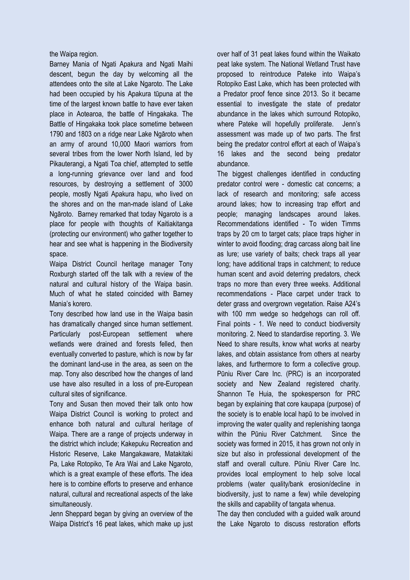the Waipa region.

Barney Mania of Ngati Apakura and Ngati Maihi descent, begun the day by welcoming all the attendees onto the site at Lake Ngaroto. The Lake had been occupied by his Apakura tūpuna at the time of the largest known battle to have ever taken place in Aotearoa, the battle of Hingakaka. The Battle of Hingakaka took place sometime between 1790 and 1803 on a ridge near Lake Ngāroto when an army of around 10,000 Maori warriors from several tribes from the lower North Island, led by Pikauterangi, a Ngati Toa chief, attempted to settle a long-running grievance over land and food resources, by destroying a settlement of 3000 people, mostly Ngati Apakura hapu, who lived on the shores and on the man-made island of Lake Ngāroto. Barney remarked that today Ngaroto is a place for people with thoughts of Kaitiakitanga (protecting our environment) who gather together to hear and see what is happening in the Biodiversity space.

Waipa District Council heritage manager Tony Roxburgh started off the talk with a review of the natural and cultural history of the Waipa basin. Much of what he stated coincided with Barney Mania's korero.

Tony described how land use in the Waipa basin has dramatically changed since human settlement. Particularly post-European settlement where wetlands were drained and forests felled, then eventually converted to pasture, which is now by far the dominant land-use in the area, as seen on the map. Tony also described how the changes of land use have also resulted in a loss of pre-European cultural sites of significance.

Tony and Susan then moved their talk onto how Waipa District Council is working to protect and enhance both natural and cultural heritage of Waipa. There are a range of projects underway in the district which include; Kakepuku Recreation and Historic Reserve, Lake Mangakaware, Matakitaki Pa, Lake Rotopiko, Te Ara Wai and Lake Ngaroto, which is a great example of these efforts. The idea here is to combine efforts to preserve and enhance natural, cultural and recreational aspects of the lake simultaneously.

Jenn Sheppard began by giving an overview of the Waipa District's 16 peat lakes, which make up just over half of 31 peat lakes found within the Waikato peat lake system. The National Wetland Trust have proposed to reintroduce Pateke into Waipa's Rotopiko East Lake, which has been protected with a Predator proof fence since 2013. So it became essential to investigate the state of predator abundance in the lakes which surround Rotopiko, where Pateke will hopefully proliferate. Jenn's assessment was made up of two parts. The first being the predator control effort at each of Waipa's 16 lakes and the second being predator abundance.

The biggest challenges identified in conducting predator control were - domestic cat concerns; a lack of research and monitoring; safe access around lakes; how to increasing trap effort and people; managing landscapes around lakes. Recommendations identified - To widen Timms traps by 20 cm to target cats; place traps higher in winter to avoid flooding; drag carcass along bait line as lure; use variety of baits; check traps all year long; have additional traps in catchment; to reduce human scent and avoid deterring predators, check traps no more than every three weeks. Additional recommendations - Place carpet under track to deter grass and overgrown vegetation. Raise A24's with 100 mm wedge so hedgehogs can roll off. Final points - 1. We need to conduct biodiversity monitoring. 2. Need to standardise reporting. 3. We Need to share results, know what works at nearby lakes, and obtain assistance from others at nearby lakes, and furthermore to form a collective group. Pūniu River Care Inc. (PRC) is an incorporated society and New Zealand registered charity. Shannon Te Huia, the spokesperson for PRC began by explaining that core kaupapa (purpose) of the society is to enable local hapū to be involved in improving the water quality and replenishing taonga within the Pūniu River Catchment. Since the society was formed in 2015, it has grown not only in size but also in professional development of the staff and overall culture. Pūniu River Care Inc. provides local employment to help solve local problems (water quality/bank erosion/decline in biodiversity, just to name a few) while developing the skills and capability of tangata whenua.

The day then concluded with a guided walk around the Lake Ngaroto to discuss restoration efforts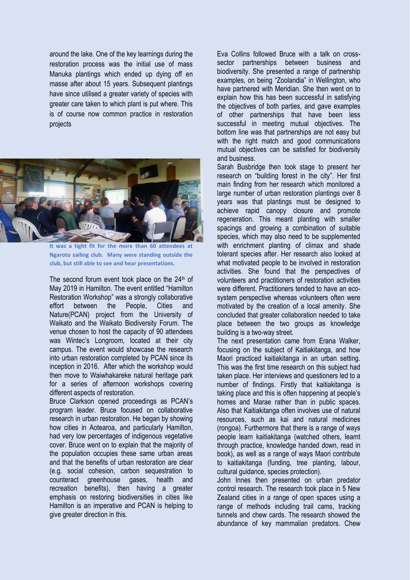around the lake. One of the key learnings during the restoration process was the initial use of mass Manuka plantings which ended up dying off en masse after about 15 years. Subsequent plantings have since utilised a greater variety of species with greater care taken to which plant is put where. This is of course now common practice in restoration projects



**It was a tight fit for the more than 60 attendees at Ngaroto sailing club. Many were standing outside the club, but still able to see and hear presentations.** 

The second forum event took place on the  $24<sup>th</sup>$  of May 2019 in Hamilton. The event entitled "Hamilton Restoration Workshop" was a strongly collaborative effort between the People, Cities and Nature(PCAN) project from the University of Waikato and the Waikato Biodiversity Forum. The venue chosen to host the capacity of 90 attendees was Wintec's Longroom, located at their city campus. The event would showcase the research into urban restoration completed by PCAN since its inception in 2016. After which the workshop would then move to Waiwhakareke natural heritage park for a series of afternoon workshops covering different aspects of restoration.

Bruce Clarkson opened proceedings as PCAN's program leader. Bruce focused on collaborative research in urban restoration. He began by showing how cities in Aotearoa, and particularly Hamilton, had very low percentages of indigenous vegetative cover. Bruce went on to explain that the majority of the population occupies these same urban areas and that the benefits of urban restoration are clear (e.g. social cohesion, carbon sequestration to counteract greenhouse gases, health and recreation benefits), then having a greater emphasis on restoring biodiversities in cities like Hamilton is an imperative and PCAN is helping to give greater direction in this.

Eva Collins followed Bruce with a talk on crosssector partnerships between business and biodiversity. She presented a range of partnership examples, on being "Zoolandia" in Wellington, who have partnered with Meridian. She then went on to explain how this has been successful in satisfying the objectives of both parties, and gave examples of other partnerships that have been less successful in meeting mutual objectives. The bottom line was that partnerships are not easy but with the right match and good communications mutual objectives can be satisfied for biodiversity and business.

Sarah Busbridge then took stage to present her research on "building forest in the city". Her first main finding from her research which monitored a large number of urban restoration plantings over 8 years was that plantings must be designed to achieve rapid canopy closure and promote regeneration. This meant planting with smaller spacings and growing a combination of suitable species, which may also need to be supplemented with enrichment planting of climax and shade tolerant species after. Her research also looked at what motivated people to be involved in restoration activities. She found that the perspectives of volunteers and practitioners of restoration activities were different. Practitioners tended to have an ecosystem perspective whereas volunteers often were motivated by the creation of a local amenity. She concluded that greater collaboration needed to take place between the two groups as knowledge building is a two-way street.

The next presentation came from Erana Walker, focusing on the subject of Kaitiakitanga, and how Maori practiced kaitiakitanga in an urban setting. This was the first time research on this subject had taken place. Her interviews and questioners led to a number of findings. Firstly that kaitiakitanga is taking place and this is often happening at people's homes and Marae rather than in public spaces. Also that Kaitiakitanga often involves use of natural resources, such as kai and natural medicines (rongoa). Furthermore that there is a range of ways people learn kaitiakitanga (watched others, learnt through practice, knowledge handed down, read in book), as well as a range of ways Maori contribute to kaitiakitanga (funding, tree planting, labour, cultural guidance, species protection).

John Innes then presented on urban predator control research. The research took place in 5 New Zealand cities in a range of open spaces using a range of methods including trail cams, tracking tunnels and chew cards. The research showed the abundance of key mammalian predators. Chew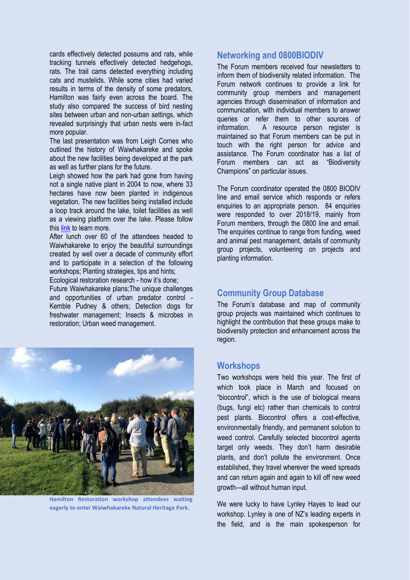cards effectively detected possums and rats, while tracking tunnels effectively detected hedgehogs, rats. The trail cams detected everything including cats and mustelids. While some cities had varied results in terms of the density of some predators, Hamilton was fairly even across the board. The study also compared the success of bird nesting sites between urban and non-urban settings, which revealed surprisingly that urban nests were in-fact more popular.

The last presentation was from Leigh Cornes who outlined the history of Waiwhakareke and spoke about the new facilities being developed at the park as well as further plans for the future.

Leigh showed how the park had gone from having not a single native plant in 2004 to now, where 33 hectares have now been planted in indigenous vegetation. The new facilities being installed include a loop track around the lake, toilet facilities as well as a viewing platform over the lake. Please follow thi[s link](https://www.hamilton.govt.nz/our-city/parks/parksandgardens/waiwhakareke/Pages/What) to learn more.

After lunch over 60 of the attendees headed to Waiwhakareke to enjoy the beautiful surroundings created by well over a decade of community effort and to participate in a selection of the following workshops; Planting strategies, tips and hints; Ecological restoration research - how it's done;

Future Waiwhakareke plans;The unique challenges and opportunities of urban predator control - Kemble Pudney & others; Detection dogs for freshwater management; Insects & microbes in restoration; Urban weed management.



**Hamilton Restoration workshop attendees waiting eagerly to enter Waiwhakareke Natural Heritage Park.** 

#### **Networking and 0800BIODIV**

The Forum members received four newsletters to inform them of biodiversity related information. The Forum network continues to provide a link for community group members and management agencies through dissemination of information and communication, with individual members to answer queries or refer them to other sources of information. A resource person register is maintained so that Forum members can be put in touch with the right person for advice and assistance. The Forum coordinator has a list of Forum members can act as "Biodiversity Champions" on particular issues.

The Forum coordinator operated the 0800 BIODIV line and email service which responds or refers enquiries to an appropriate person. 84 enquiries were responded to over 2018/19, mainly from Forum members, through the 0800 line and email. The enquiries continue to range from funding, weed and animal pest management, details of community group projects, volunteering on projects and planting information.

## **Community Group Database**

The Forum's database and map of community group projects was maintained which continues to highlight the contribution that these groups make to biodiversity protection and enhancement across the region.

## **Workshops**

Two workshops were held this year. The first of which took place in March and focused on "biocontrol", which is the use of biological means (bugs, fungi etc) rather than chemicals to control pest plants. Biocontrol offers a cost-effective, environmentally friendly, and permanent solution to weed control. Carefully selected biocontrol agents target only weeds. They don't harm desirable plants, and don't pollute the environment. Once established, they travel wherever the weed spreads and can return again and again to kill off new weed growth—all without human input.

We were lucky to have Lynley Hayes to lead our workshop. Lynley is one of NZ's leading experts in the field, and is the main spokesperson for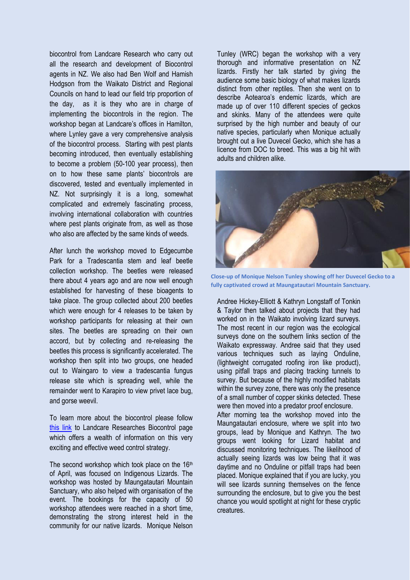biocontrol from Landcare Research who carry out all the research and development of Biocontrol agents in NZ. We also had Ben Wolf and Hamish Hodgson from the Waikato District and Regional Councils on hand to lead our field trip proportion of the day, as it is they who are in charge of implementing the biocontrols in the region. The workshop began at Landcare's offices in Hamilton, where Lynley gave a very comprehensive analysis of the biocontrol process. Starting with pest plants becoming introduced, then eventually establishing to become a problem (50-100 year process), then on to how these same plants' biocontrols are discovered, tested and eventually implemented in NZ. Not surprisingly it is a long, somewhat complicated and extremely fascinating process, involving international collaboration with countries where pest plants originate from, as well as those who also are affected by the same kinds of weeds.

After lunch the workshop moved to Edgecumbe Park for a Tradescantia stem and leaf beetle collection workshop. The beetles were released there about 4 years ago and are now well enough established for harvesting of these bioagents to take place. The group collected about 200 beetles which were enough for 4 releases to be taken by workshop participants for releasing at their own sites. The beetles are spreading on their own accord, but by collecting and re-releasing the beetles this process is significantly accelerated. The workshop then split into two groups, one headed out to Waingaro to view a tradescantia fungus release site which is spreading well, while the remainder went to Karapiro to view privet lace bug, and gorse weevil.

To learn more about the biocontrol please follow [this link](https://www.landcareresearch.co.nz/science/plants-animals-fungi/plants/weeds/biocontrol) to Landcare Researches Biocontrol page which offers a wealth of information on this very exciting and effective weed control strategy.

The second workshop which took place on the  $16<sup>th</sup>$ of April, was focused on Indigenous Lizards. The workshop was hosted by Maungatautari Mountain Sanctuary, who also helped with organisation of the event. The bookings for the capacity of 50 workshop attendees were reached in a short time, demonstrating the strong interest held in the community for our native lizards. Monique Nelson Tunley (WRC) began the workshop with a very thorough and informative presentation on NZ lizards. Firstly her talk started by giving the audience some basic biology of what makes lizards distinct from other reptiles. Then she went on to describe Aotearoa's endemic lizards, which are made up of over 110 different species of geckos and skinks. Many of the attendees were quite surprised by the high number and beauty of our native species, particularly when Monique actually brought out a live Duvecel Gecko, which she has a licence from DOC to breed. This was a big hit with adults and children alike.



**Close-up of Monique Nelson Tunley showing off her Duvecel Gecko to a fully captivated crowd at Maungatautari Mountain Sanctuary.**

Andree Hickey-Elliott & Kathryn Longstaff of Tonkin & Taylor then talked about projects that they had worked on in the Waikato involving lizard surveys. The most recent in our region was the ecological surveys done on the southern links section of the Waikato expressway. Andree said that they used various techniques such as laying Onduline, (lightweight corrugated roofing iron like product), using pitfall traps and placing tracking tunnels to survey. But because of the highly modified habitats within the survey zone, there was only the presence of a small number of copper skinks detected. These were then moved into a predator proof enclosure.

After morning tea the workshop moved into the Maungatautari enclosure, where we split into two groups, lead by Monique and Kathryn. The two groups went looking for Lizard habitat and discussed monitoring techniques. The likelihood of actually seeing lizards was low being that it was daytime and no Onduline or pitfall traps had been placed. Monique explained that if you are lucky, you will see lizards sunning themselves on the fence surrounding the enclosure, but to give you the best chance you would spotlight at night for these cryptic creatures.